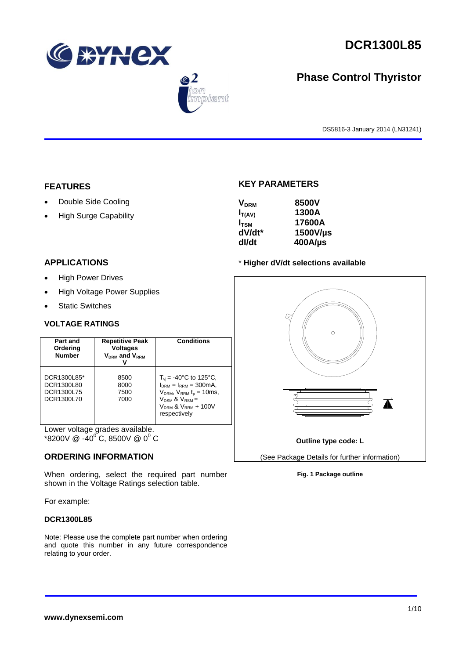



# **Phase Control Thyristor**

DS5816-3 January 2014 (LN31241)

## **FEATURES**

- Double Side Cooling
- High Surge Capability

### **APPLICATIONS**

- High Power Drives
- High Voltage Power Supplies
- Static Switches

#### **VOLTAGE RATINGS**

| Part and<br>Ordering<br><b>Number</b>                 | <b>Repetitive Peak</b><br><b>Voltages</b><br>$V_{DRM}$ and $V_{RRM}$ | <b>Conditions</b>                                                                                                                                                                         |
|-------------------------------------------------------|----------------------------------------------------------------------|-------------------------------------------------------------------------------------------------------------------------------------------------------------------------------------------|
| DCR1300L85*<br>DCR1300L80<br>DCR1300L75<br>DCR1300L70 | 8500<br>8000<br>7500<br>7000                                         | $T_{\rm vi}$ = -40°C to 125°C,<br>$I_{DRM} = I_{RRM} = 300 \text{mA}$<br>$V_{DRM}$ , $V_{RRM}$ $t_{p}$ = 10ms,<br>$V_{DSM}$ & $V_{RSM}$ =<br>$V_{DRM}$ & $V_{RRM}$ + 100V<br>respectively |

Lower voltage grades available.  $*8200V \ @ \ -40^{\circ}C, 8500V \ @ \ 0^{\circ}C$ 

#### **ORDERING INFORMATION**

When ordering, select the required part number shown in the Voltage Ratings selection table.

For example:

#### **DCR1300L85**

Note: Please use the complete part number when ordering and quote this number in any future correspondence relating to your order.

### **KEY PARAMETERS**

| <b>V<sub>DRM</sub></b> | 8500V      |
|------------------------|------------|
| $I_{T(AV)}$            | 1300A      |
| $I_{TSM}$              | 17600A     |
| dV/dt*                 | 1500V/µs   |
| dl/dt                  | $400$ A/µs |

#### \* **Higher dV/dt selections available**



#### **Fig. 1 Package outline**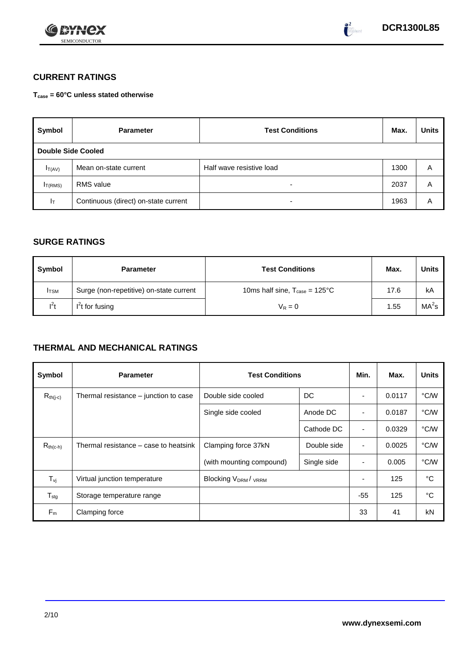

## **CURRENT RATINGS**

**Tcase = 60°C unless stated otherwise**

| Symbol              | <b>Parameter</b>                     | <b>Test Conditions</b>   | Max. | <b>Units</b> |
|---------------------|--------------------------------------|--------------------------|------|--------------|
| Double Side Cooled  |                                      |                          |      |              |
| $I_{T(AV)}$         | Mean on-state current                | Half wave resistive load | 1300 | A            |
| I <sub>T(RMS)</sub> | <b>RMS</b> value                     | -                        | 2037 | Α            |
| Iτ                  | Continuous (direct) on-state current | $\overline{\phantom{0}}$ | 1963 | Α            |

## **SURGE RATINGS**

| Symbol       | <b>Parameter</b>                        | <b>Test Conditions</b>                           | Max. | Units             |
|--------------|-----------------------------------------|--------------------------------------------------|------|-------------------|
| <b>I</b> TSM | Surge (non-repetitive) on-state current | 10ms half sine, $T_{\text{case}} = 125^{\circ}C$ | 17.6 | kA                |
| $l^2t$       | $I2t$ for fusing                        | $V_R = 0$                                        | 1.55 | MA <sup>2</sup> s |

## **THERMAL AND MECHANICAL RATINGS**

| Symbol           | <b>Parameter</b>                      | <b>Test Conditions</b>    |             | Min.                     | Max.   | <b>Units</b> |
|------------------|---------------------------------------|---------------------------|-------------|--------------------------|--------|--------------|
| $R_{th(j-c)}$    | Thermal resistance – junction to case | Double side cooled        | DC          |                          | 0.0117 | °C/W         |
|                  |                                       | Single side cooled        | Anode DC    |                          | 0.0187 | °C/W         |
|                  |                                       |                           | Cathode DC  | $\overline{\phantom{a}}$ | 0.0329 | °C/W         |
| $R_{th(c-h)}$    | Thermal resistance – case to heatsink | Clamping force 37kN       | Double side | $\blacksquare$           | 0.0025 | °C/W         |
|                  |                                       | (with mounting compound)  | Single side | ٠                        | 0.005  | °C/W         |
| $T_{\rm vj}$     | Virtual junction temperature          | <b>Blocking VDRM/VRRM</b> |             |                          | 125    | °C           |
| $T_{\text{stg}}$ | Storage temperature range             |                           |             | $-55$                    | 125    | °C           |
| $F_m$            | Clamping force                        |                           |             | 33                       | 41     | kN           |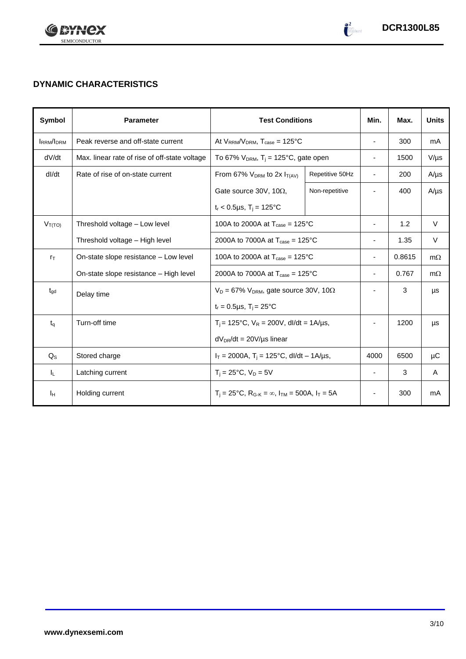

# **DYNAMIC CHARACTERISTICS**

| Symbol           | <b>Parameter</b>                              | <b>Test Conditions</b>                                                                          |                 | Min.                     | Max.   | <b>Units</b> |
|------------------|-----------------------------------------------|-------------------------------------------------------------------------------------------------|-----------------|--------------------------|--------|--------------|
| <b>IRRM/IDRM</b> | Peak reverse and off-state current            | At $V_{RRM}/V_{DRM}$ , $T_{case} = 125^{\circ}C$                                                |                 | $\overline{\phantom{a}}$ | 300    | mA           |
| dV/dt            | Max. linear rate of rise of off-state voltage | To 67% $V_{DRM}$ , T <sub>i</sub> = 125°C, gate open                                            |                 | $\blacksquare$           | 1500   | $V/\mu s$    |
| dl/dt            | Rate of rise of on-state current              | From 67% $V_{DRM}$ to 2x $I_{T(AV)}$                                                            | Repetitive 50Hz | $\blacksquare$           | 200    | $A/\mu s$    |
|                  |                                               | Gate source 30V, 10 $\Omega$ ,                                                                  | Non-repetitive  |                          | 400    | $A/\mu s$    |
|                  |                                               | $t_r < 0.5 \mu s$ , T <sub>i</sub> = 125°C                                                      |                 |                          |        |              |
| $V_{T(TO)}$      | Threshold voltage - Low level                 | 100A to 2000A at $T_{\text{case}} = 125^{\circ}C$                                               |                 | $\blacksquare$           | 1.2    | $\vee$       |
|                  | Threshold voltage - High level                | 2000A to 7000A at $T_{\text{case}} = 125^{\circ}$ C                                             |                 |                          | 1.35   | V            |
| $r_{\text{T}}$   | On-state slope resistance – Low level         | 100A to 2000A at $T_{\text{case}} = 125^{\circ}C$                                               |                 |                          | 0.8615 | $m\Omega$    |
|                  | On-state slope resistance - High level        | 2000A to 7000A at $T_{\text{case}} = 125^{\circ}$ C                                             |                 | $\blacksquare$           | 0.767  | $m\Omega$    |
| $t_{\text{qd}}$  | Delay time                                    | $V_D = 67\% V_{DRM}$ , gate source 30V, 10 $\Omega$                                             |                 |                          | 3      | μs           |
|                  |                                               | $t_r = 0.5 \mu s$ , $T_i = 25^{\circ}C$                                                         |                 |                          |        |              |
| $t_q$            | Turn-off time                                 | $T_i = 125^{\circ}C$ , $V_R = 200V$ , dl/dt = 1A/µs,                                            |                 |                          | 1200   | μs           |
|                  |                                               | $dV_{DR}/dt = 20V/\mu s$ linear                                                                 |                 |                          |        |              |
| $Q_{\rm S}$      | Stored charge                                 | $I_T = 2000A$ , $T_i = 125^{\circ}C$ , dl/dt - 1A/µs,                                           |                 | 4000                     | 6500   | μC           |
| IL.              | Latching current                              | $T_i = 25^{\circ}C$ , $V_D = 5V$                                                                |                 | $\overline{\phantom{a}}$ | 3      | A            |
| Iн               | Holding current                               | $T_i = 25^{\circ}C$ , R <sub>G-K</sub> = $\infty$ , I <sub>TM</sub> = 500A, I <sub>T</sub> = 5A |                 | ٠                        | 300    | mA           |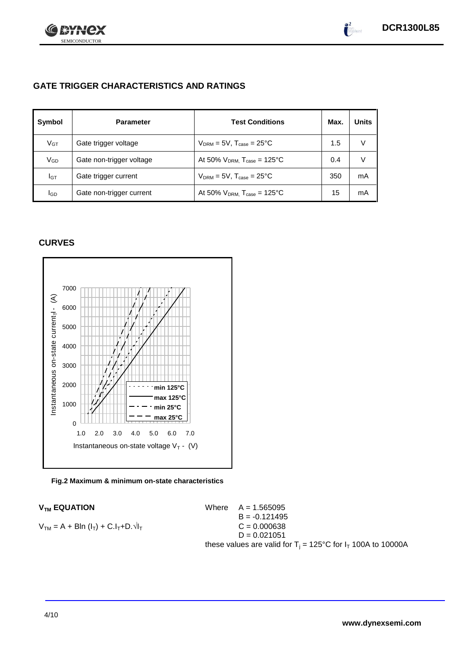

## **GATE TRIGGER CHARACTERISTICS AND RATINGS**

| Symbol | <b>Parameter</b>         | <b>Test Conditions</b>                       | Max. | <b>Units</b> |
|--------|--------------------------|----------------------------------------------|------|--------------|
| $V$ GT | Gate trigger voltage     | $V_{DRM} = 5V$ , $T_{case} = 25^{\circ}C$    | 1.5  | V            |
| VGD    | Gate non-trigger voltage | At 50% $V_{DRM}$ , $T_{case} = 125^{\circ}C$ | 0.4  | V            |
| IGТ    | Gate trigger current     | $V_{DRM}$ = 5V, $T_{case}$ = 25°C            | 350  | mA           |
| lgp    | Gate non-trigger current | At 50% $V_{DRM}$ , $T_{case} = 125^{\circ}C$ | 15   | mA           |

## **CURVES**



#### **Fig.2 Maximum & minimum on-state characteristics**

 $V_{TM}$  **EQUATION** Where  $A = 1.565095$  $B = -0.121495$  $V_{TM} = A + B\ln(I_T) + C.I_T + D.\sqrt{I_T}$  C = 0.000638  $D = 0.021051$ these values are valid for  $T_i = 125^{\circ}C$  for  $I_T$  100A to 10000A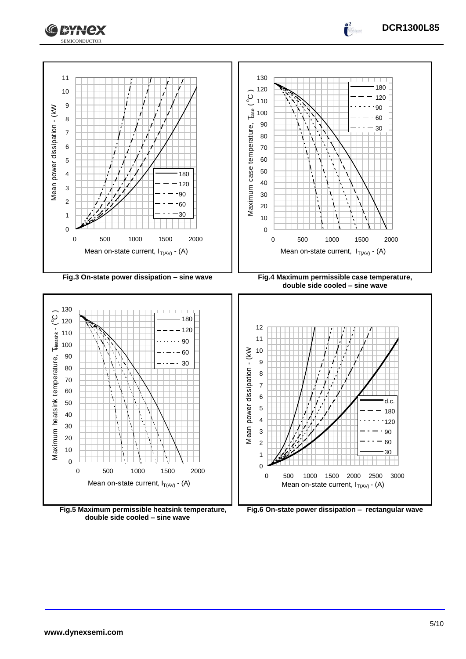



**double side cooled – sine wave**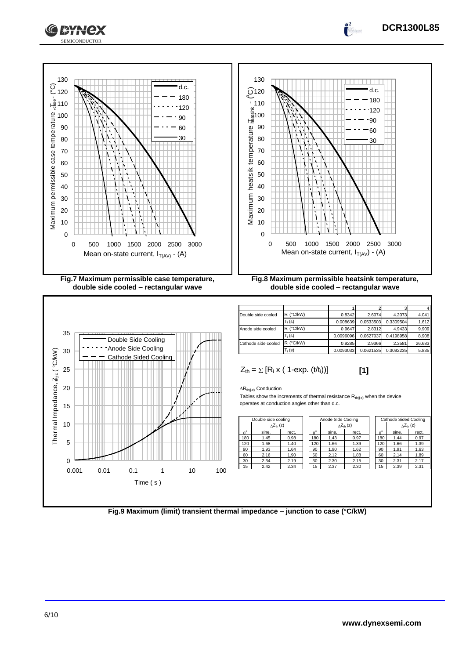



ЖАНСХ

| Double side cooled  | $R_i$ (°C/kW) | 0.8342    | 2.6074    | 4.2073    | 4.041  |
|---------------------|---------------|-----------|-----------|-----------|--------|
|                     | $T_i$ (s)     | 0.008639  | 0.0533503 | 0.3309504 | 1.612  |
| Anode side cooled   | $R_i$ (°C/kW) | 0.9647    | 2.8312    | 4.9433    | 9.909  |
|                     | $T_i(s)$      | 0.0096096 | 0.0627037 | 0.4198958 | 8.908  |
| Cathode side cooled | $R_i$ (°C/kW) | 0.9285    | 2.9366    | 2.3581    | 26.683 |
|                     | $T_i$ (s)     | 0.0093033 | 0.0621535 | 0.3092235 | 5.835  |

 $[1]$ 

$$
Z_{\text{th}} = \sum [R_i \times (1-\exp. (t/t_i))]
$$

$$
\Delta R_{th(j\text{-}c)}\text{ Conduction}
$$

Tables show the increments of thermal resistance  $R_{th(j-c)}$  when the device operates at conduction angles other than d.c.

| Double side cooling |                           | Anode Side Cooling |             |       |                           | Cathode Sided Cooling |                  |                     |       |
|---------------------|---------------------------|--------------------|-------------|-------|---------------------------|-----------------------|------------------|---------------------|-------|
|                     | $\Delta Z_{\text{th}}(z)$ |                    |             |       | $\Delta Z_{\text{th}}(z)$ |                       |                  | $\Delta Z_{th}$ (z) |       |
| $A^{\circ}$         | sine.                     | rect.              | $A^{\circ}$ | sine. | rect.                     |                       | $\theta^{\circ}$ | sine.               | rect. |
| 180                 | 1.45                      | 0.98               | 180         | 1.43  | 0.97                      |                       | 180              | 1.44                | 0.97  |
| 120                 | 1.68                      | 1.40               | 120         | 1.66  | 1.39                      |                       | 120              | 1.66                | 1.39  |
| 90                  | 1.93                      | 1.64               | 90          | 1.90  | 1.62                      |                       | 90               | 1.91                | 1.63  |
| 60                  | 2.16                      | 1.90               | 60          | 2.12  | 1.88                      |                       | 60               | 2.14                | 1.89  |
| 30                  | 2.34                      | 2.19               | 30          | 2.30  | 2.15                      |                       | 30               | 2.31                | 2.17  |
| 15                  | 2.42                      | 2.34               | 15          | 2.37  | 2.30                      |                       | 15               | 2.39                | 2.31  |
|                     |                           |                    |             |       |                           |                       |                  |                     |       |

| Cathode Sided Cooling |                           |       |  |  |
|-----------------------|---------------------------|-------|--|--|
|                       | $\wedge Z_{\text{th}}(z)$ |       |  |  |
| $\theta^{\circ}$      | sine.                     | rect. |  |  |
| 180                   | 1.44                      | 0.97  |  |  |
| 120                   | 1.66                      | 1.39  |  |  |
| 90                    | 1.91                      | 1.63  |  |  |
| 60                    | 2.14                      | 1.89  |  |  |
| 30                    | 2.31                      | 2.17  |  |  |
| 15                    | 2.39                      | 2.31  |  |  |

**DCR1300L85**

 $\int_0^2$ 

**Fig.9 Maximum (limit) transient thermal impedance – junction to case (°C/kW)**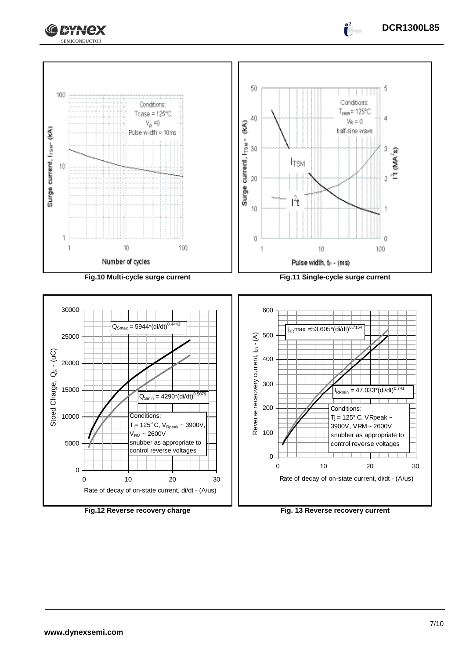







 $\int_0^2$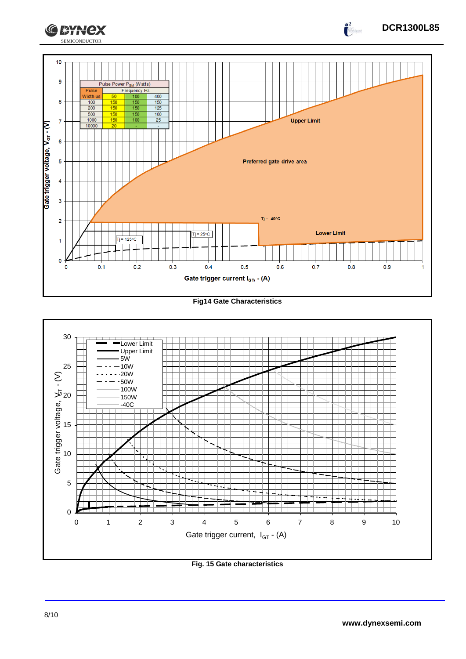

**Fig14 Gate Characteristics**



**Fig. 15 Gate characteristics**

 $\int_{0}^{2}$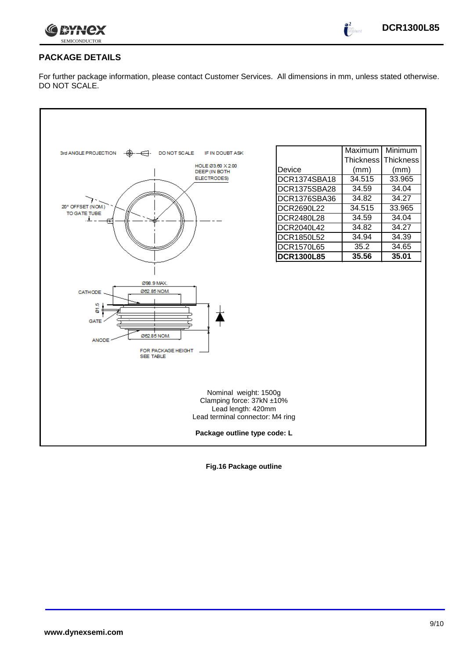

 $\bullet^2$ 

## **PACKAGE DETAILS**

For further package information, please contact Customer Services. All dimensions in mm, unless stated otherwise. DO NOT SCALE.

| 3rd ANGLE PROJECTION<br>DO NOT SCALE<br>IF IN DOUBT ASK<br>HOLE Ø3.60 X 2.00<br>DEEP (IN BOTH<br>ELECTRODES)<br>20° OFFSET (NOM.)<br>TO GATE TUBE | Device<br>DCR1374SBA18<br>DCR1375SBA28<br>DCR1376SBA36<br>DCR2690L22<br>DCR2480L28<br>DCR2040L42 | Maximum<br>Thickness<br>(mm)<br>34.515<br>34.59<br>34.82<br>34.515<br>34.59<br>34.82 | Minimum<br><b>Thickness</b><br>(mm)<br>33.965<br>34.04<br>34.27<br>33.965<br>34.04<br>34.27 |  |
|---------------------------------------------------------------------------------------------------------------------------------------------------|--------------------------------------------------------------------------------------------------|--------------------------------------------------------------------------------------|---------------------------------------------------------------------------------------------|--|
|                                                                                                                                                   | DCR1850L52<br><b>DCR1570L65</b><br><b>DCR1300L85</b>                                             | 34.94<br>35.2<br>35.56                                                               | 34.39<br>34.65<br>35.01                                                                     |  |
| Ø98.9 MAX.<br>Ø62.85 NOM.<br>CATHODE<br>ю<br>9<br><b>GATE</b><br>Ø62.85 NOM.<br><b>ANODE</b><br>FOR PACKAGE HEIGHT<br><b>SEE TABLE</b>            |                                                                                                  |                                                                                      |                                                                                             |  |
| Nominal weight: 1500g<br>Clamping force: 37kN ±10%<br>Lead length: 420mm<br>Lead terminal connector: M4 ring<br>Package outline type code: L      |                                                                                                  |                                                                                      |                                                                                             |  |
|                                                                                                                                                   |                                                                                                  |                                                                                      |                                                                                             |  |

**Fig.16 Package outline**